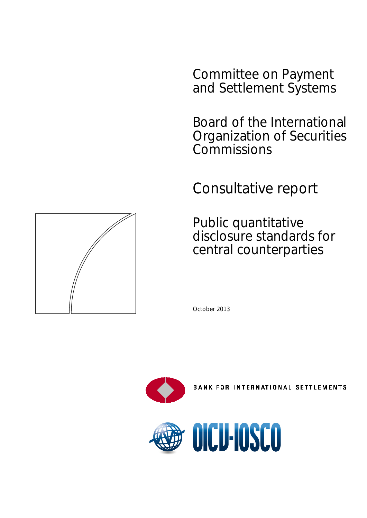Committee on Payment and Settlement Systems

Board of the International Organization of Securities **Commissions** 

Consultative report

Public quantitative disclosure standards for central counterparties





**BANK FOR INTERNATIONAL SETTLEMENTS** 



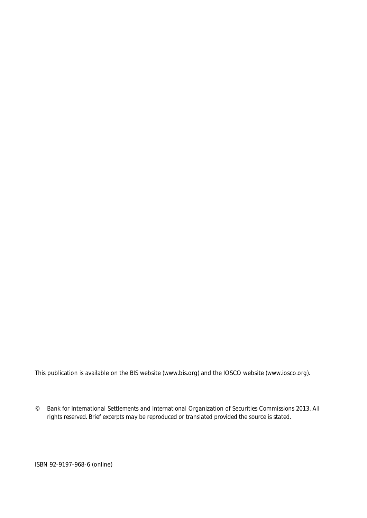This publication is available on the BIS website [\(www.bis.org\)](http://www.bis.org/) and the IOSCO website [\(www.iosco.org\)](http://www.iosco.org/).

*© Bank for International Settlements and International Organization of Securities Commissions 2013. All rights reserved. Brief excerpts may be reproduced or translated provided the source is stated.*

ISBN 92-9197-968-6 (online)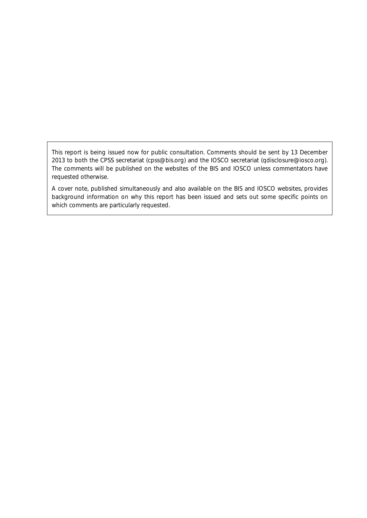This report is being issued now for public consultation. Comments should be sent by 13 December 2013 to both the CPSS secretariat (cpss@bis.org) and the IOSCO secretariat [\(qdisclosure@iosco.org\)](mailto:qdisclosure@iosco.org). The comments will be published on the websites of the BIS and IOSCO unless commentators have requested otherwise.

A cover note, published simultaneously and also available on the BIS and IOSCO websites, provides background information on why this report has been issued and sets out some specific points on which comments are particularly requested.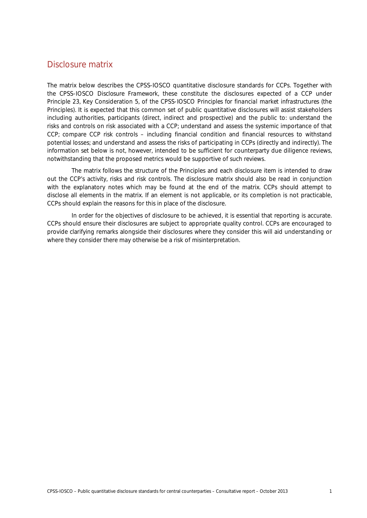# Disclosure matrix

The matrix below describes the CPSS-IOSCO quantitative disclosure standards for CCPs. Together with the CPSS-IOSCO *Disclosure Framework*, these constitute the disclosures expected of a CCP under Principle 23, Key Consideration 5, of the CPSS-IOSCO *Principles for financial market infrastructures* (the Principles). It is expected that this common set of public quantitative disclosures will assist stakeholders including authorities, participants (direct, indirect and prospective) and the public to: understand the risks and controls on risk associated with a CCP; understand and assess the systemic importance of that CCP; compare CCP risk controls – including financial condition and financial resources to withstand potential losses; and understand and assess the risks of participating in CCPs (directly and indirectly). The information set below is not, however, intended to be sufficient for counterparty due diligence reviews, notwithstanding that the proposed metrics would be supportive of such reviews.

The matrix follows the structure of the Principles and each disclosure item is intended to draw out the CCP's activity, risks and risk controls. The disclosure matrix should also be read in conjunction with the explanatory notes which may be found at the end of the matrix. CCPs should attempt to disclose all elements in the matrix. If an element is not applicable, or its completion is not practicable, CCPs should explain the reasons for this in place of the disclosure.

In order for the objectives of disclosure to be achieved, it is essential that reporting is accurate. CCPs should ensure their disclosures are subject to appropriate quality control. CCPs are encouraged to provide clarifying remarks alongside their disclosures where they consider this will aid understanding or where they consider there may otherwise be a risk of misinterpretation.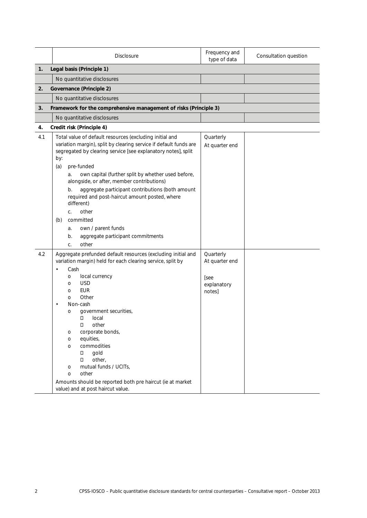|     | <b>Disclosure</b>                                                                                                                                                                                                                                                                                                                                                                                                                                                                                                                                                                      | Frequency and<br>type of data                                | Consultation question |
|-----|----------------------------------------------------------------------------------------------------------------------------------------------------------------------------------------------------------------------------------------------------------------------------------------------------------------------------------------------------------------------------------------------------------------------------------------------------------------------------------------------------------------------------------------------------------------------------------------|--------------------------------------------------------------|-----------------------|
| 1.  | Legal basis (Principle 1)                                                                                                                                                                                                                                                                                                                                                                                                                                                                                                                                                              |                                                              |                       |
|     | No quantitative disclosures                                                                                                                                                                                                                                                                                                                                                                                                                                                                                                                                                            |                                                              |                       |
| 2.  | <b>Governance (Principle 2)</b>                                                                                                                                                                                                                                                                                                                                                                                                                                                                                                                                                        |                                                              |                       |
|     | No quantitative disclosures                                                                                                                                                                                                                                                                                                                                                                                                                                                                                                                                                            |                                                              |                       |
| 3.  | Framework for the comprehensive management of risks (Principle 3)                                                                                                                                                                                                                                                                                                                                                                                                                                                                                                                      |                                                              |                       |
|     | No quantitative disclosures                                                                                                                                                                                                                                                                                                                                                                                                                                                                                                                                                            |                                                              |                       |
| 4.  | Credit risk (Principle 4)                                                                                                                                                                                                                                                                                                                                                                                                                                                                                                                                                              |                                                              |                       |
| 4.1 | Total value of default resources (excluding initial and<br>variation margin), split by clearing service if default funds are<br>segregated by clearing service [see explanatory notes], split<br>by:<br>pre-funded<br>(a)<br>own capital (further split by whether used before,<br>a.<br>alongside, or after, member contributions)<br>aggregate participant contributions (both amount<br>b.<br>required and post-haircut amount posted, where<br>different)<br>other<br>C.<br>committed<br>(b)<br>own / parent funds<br>a.<br>aggregate participant commitments<br>b.<br>other<br>C. | Quarterly<br>At quarter end                                  |                       |
| 4.2 | Aggregate prefunded default resources (excluding initial and<br>variation margin) held for each clearing service, split by<br>Cash<br>$\bullet$<br>local currency<br>0<br><b>USD</b><br>$\circ$<br><b>EUR</b><br>$\circ$<br>Other<br>0<br>Non-cash<br>government securities,<br>O<br>П<br>local<br>other<br>П<br>corporate bonds,<br>O<br>equities,<br>O<br>commodities<br>O<br>gold<br>П<br>other,<br>O.<br>mutual funds / UCITs,<br>O<br>other<br>O<br>Amounts should be reported both pre haircut (ie at market<br>value) and at post haircut value.                                | Quarterly<br>At quarter end<br>[see<br>explanatory<br>notes] |                       |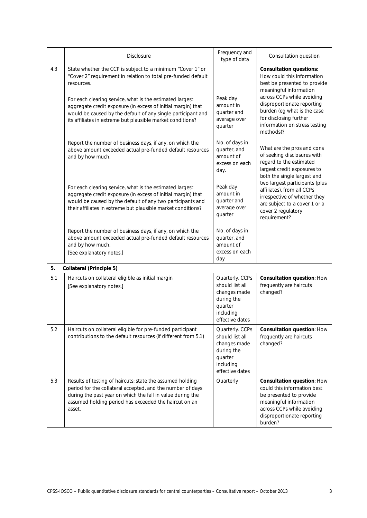|     | <b>Disclosure</b>                                                                                                                                                                                                                                                                                                                                                                                   | Frequency and<br>type of data                                                                               | Consultation question                                                                                                                                                                                                                                                                     |
|-----|-----------------------------------------------------------------------------------------------------------------------------------------------------------------------------------------------------------------------------------------------------------------------------------------------------------------------------------------------------------------------------------------------------|-------------------------------------------------------------------------------------------------------------|-------------------------------------------------------------------------------------------------------------------------------------------------------------------------------------------------------------------------------------------------------------------------------------------|
| 4.3 | State whether the CCP is subject to a minimum "Cover 1" or<br>"Cover 2" requirement in relation to total pre-funded default<br>resources.<br>For each clearing service, what is the estimated largest<br>aggregate credit exposure (in excess of initial margin) that<br>would be caused by the default of any single participant and<br>its affiliates in extreme but plausible market conditions? | Peak day<br>amount in<br>quarter and<br>average over<br>quarter                                             | <b>Consultation questions:</b><br>How could this information<br>best be presented to provide<br>meaningful information<br>across CCPs while avoiding<br>disproportionate reporting<br>burden (eg what is the case<br>for disclosing further<br>information on stress testing<br>methods)? |
|     | Report the number of business days, if any, on which the<br>above amount exceeded actual pre-funded default resources<br>and by how much.                                                                                                                                                                                                                                                           | No. of days in<br>quarter, and<br>amount of<br>excess on each<br>day.                                       | What are the pros and cons<br>of seeking disclosures with<br>regard to the estimated<br>largest credit exposures to<br>both the single largest and                                                                                                                                        |
|     | For each clearing service, what is the estimated largest<br>aggregate credit exposure (in excess of initial margin) that<br>would be caused by the default of any two participants and<br>their affiliates in extreme but plausible market conditions?                                                                                                                                              | Peak day<br>amount in<br>quarter and<br>average over<br>quarter                                             | two largest participants (plus<br>affiliates), from all CCPs<br>irrespective of whether they<br>are subject to a cover 1 or a<br>cover 2 regulatory<br>requirement?                                                                                                                       |
|     | Report the number of business days, if any, on which the<br>above amount exceeded actual pre-funded default resources<br>and by how much.<br>[See explanatory notes.]                                                                                                                                                                                                                               | No. of days in<br>quarter, and<br>amount of<br>excess on each<br>day                                        |                                                                                                                                                                                                                                                                                           |
| 5.  | <b>Collateral (Principle 5)</b>                                                                                                                                                                                                                                                                                                                                                                     |                                                                                                             |                                                                                                                                                                                                                                                                                           |
| 5.1 | Haircuts on collateral eligible as initial margin<br>[See explanatory notes.]                                                                                                                                                                                                                                                                                                                       | Quarterly. CCPs<br>should list all<br>changes made<br>during the<br>quarter<br>including<br>effective dates | Consultation question: How<br>frequently are haircuts<br>changed?                                                                                                                                                                                                                         |
| 5.2 | Haircuts on collateral eligible for pre-funded participant<br>contributions to the default resources (if different from 5.1)                                                                                                                                                                                                                                                                        | Quarterly. CCPs<br>should list all<br>changes made<br>during the<br>quarter<br>including<br>effective dates | Consultation question: How<br>frequently are haircuts<br>changed?                                                                                                                                                                                                                         |
| 5.3 | Results of testing of haircuts: state the assumed holding<br>period for the collateral accepted, and the number of days<br>during the past year on which the fall in value during the<br>assumed holding period has exceeded the haircut on an<br>asset.                                                                                                                                            | Quarterly                                                                                                   | Consultation question: How<br>could this information best<br>be presented to provide<br>meaningful information<br>across CCPs while avoiding<br>disproportionate reporting<br>burden?                                                                                                     |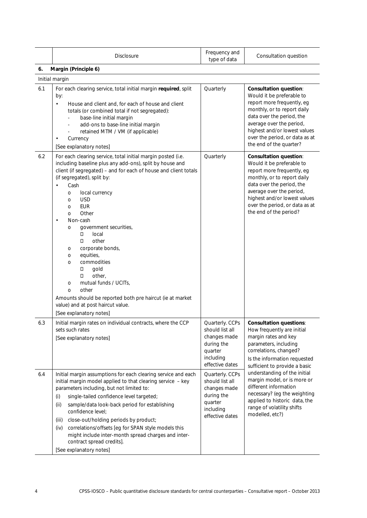|     | <b>Disclosure</b>                                                                                                                                                                                                                                                                                                                                                                                                                                                                                                                                                                                                                                         | Frequency and<br>type of data                                                                               | Consultation question                                                                                                                                                                                                                                                         |
|-----|-----------------------------------------------------------------------------------------------------------------------------------------------------------------------------------------------------------------------------------------------------------------------------------------------------------------------------------------------------------------------------------------------------------------------------------------------------------------------------------------------------------------------------------------------------------------------------------------------------------------------------------------------------------|-------------------------------------------------------------------------------------------------------------|-------------------------------------------------------------------------------------------------------------------------------------------------------------------------------------------------------------------------------------------------------------------------------|
| 6.  | Margin (Principle 6)                                                                                                                                                                                                                                                                                                                                                                                                                                                                                                                                                                                                                                      |                                                                                                             |                                                                                                                                                                                                                                                                               |
|     | Initial margin                                                                                                                                                                                                                                                                                                                                                                                                                                                                                                                                                                                                                                            |                                                                                                             |                                                                                                                                                                                                                                                                               |
| 6.1 | For each clearing service, total initial margin required, split<br>by:<br>House and client and, for each of house and client<br>$\bullet$<br>totals (or combined total if not segregated):<br>base-line initial margin<br>add-ons to base-line initial margin<br>retained MTM / VM (if applicable)<br>Currency<br>[See explanatory notes]                                                                                                                                                                                                                                                                                                                 | Quarterly                                                                                                   | <b>Consultation question:</b><br>Would it be preferable to<br>report more frequently, eg<br>monthly, or to report daily<br>data over the period, the<br>average over the period,<br>highest and/or lowest values<br>over the period, or data as at<br>the end of the quarter? |
| 6.2 | For each clearing service, total initial margin posted (i.e.<br>including baseline plus any add-ons), split by house and<br>client (if segregated) - and for each of house and client totals<br>(if segregated), split by:<br>Cash<br>local currency<br>O<br><b>USD</b><br>O<br>EUR<br>O<br>Other<br>O<br>Non-cash<br>government securities,<br>O<br>Π.<br>local<br>other<br>П.<br>corporate bonds,<br>O<br>equities,<br>O<br>commodities<br>O<br>gold<br>П<br>other,<br>0<br>mutual funds / UCITs,<br>O<br>other<br>$\circ$<br>Amounts should be reported both pre haircut (ie at market<br>value) and at post haircut value.<br>[See explanatory notes] | Quarterly                                                                                                   | <b>Consultation question:</b><br>Would it be preferable to<br>report more frequently, eg<br>monthly, or to report daily<br>data over the period, the<br>average over the period,<br>highest and/or lowest values<br>over the period, or data as at<br>the end of the period?  |
| 6.3 | Initial margin rates on individual contracts, where the CCP<br>sets such rates<br>[See explanatory notes]                                                                                                                                                                                                                                                                                                                                                                                                                                                                                                                                                 | Quarterly. CCPs<br>should list all<br>changes made<br>during the<br>quarter<br>including<br>effective dates | <b>Consultation questions:</b><br>How frequently are initial<br>margin rates and key<br>parameters, including<br>correlations, changed?<br>Is the information requested<br>sufficient to provide a basic                                                                      |
| 6.4 | Initial margin assumptions for each clearing service and each<br>initial margin model applied to that clearing service - key<br>parameters including, but not limited to:<br>single-tailed confidence level targeted;<br>(i)<br>sample/data look-back period for establishing<br>(ii)<br>confidence level;<br>close-out/holding periods by product;<br>(iii)<br>correlations/offsets [eg for SPAN style models this<br>(iv)<br>might include inter-month spread charges and inter-<br>contract spread credits].<br>[See explanatory notes]                                                                                                                | Quarterly. CCPs<br>should list all<br>changes made<br>during the<br>quarter<br>including<br>effective dates | understanding of the initial<br>margin model, or is more or<br>different information<br>necessary? (eg the weighting<br>applied to historic data, the<br>range of volatility shifts<br>modelled, etc?)                                                                        |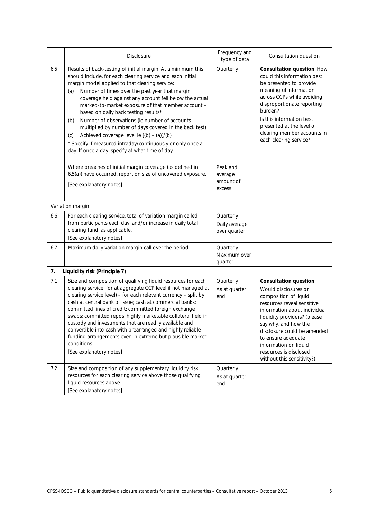|     | <b>Disclosure</b>                                                                                                                                                                                                                                                                                                                                                                                                                                                                                                                                                                                                                                                                       | Frequency and<br>type of data              | Consultation question                                                                                                                                                                                                                                                                                                                      |
|-----|-----------------------------------------------------------------------------------------------------------------------------------------------------------------------------------------------------------------------------------------------------------------------------------------------------------------------------------------------------------------------------------------------------------------------------------------------------------------------------------------------------------------------------------------------------------------------------------------------------------------------------------------------------------------------------------------|--------------------------------------------|--------------------------------------------------------------------------------------------------------------------------------------------------------------------------------------------------------------------------------------------------------------------------------------------------------------------------------------------|
| 6.5 | Results of back-testing of initial margin. At a minimum this<br>should include, for each clearing service and each initial<br>margin model applied to that clearing service:<br>Number of times over the past year that margin<br>(a)<br>coverage held against any account fell below the actual<br>marked-to-market exposure of that member account -<br>based on daily back testing results*<br>Number of observations (ie number of accounts<br>(b)<br>multiplied by number of days covered in the back test)<br>Achieved coverage level ie [(b) - (a)]/(b)<br>(c)<br>* Specify if measured intraday/continuously or only once a<br>day. If once a day, specify at what time of day. | Quarterly                                  | Consultation question: How<br>could this information best<br>be presented to provide<br>meaningful information<br>across CCPs while avoiding<br>disproportionate reporting<br>burden?<br>Is this information best<br>presented at the level of<br>clearing member accounts in<br>each clearing service?                                    |
|     | Where breaches of initial margin coverage (as defined in<br>6.5(a)) have occurred, report on size of uncovered exposure.<br>[See explanatory notes]                                                                                                                                                                                                                                                                                                                                                                                                                                                                                                                                     | Peak and<br>average<br>amount of<br>excess |                                                                                                                                                                                                                                                                                                                                            |
|     | Variation margin                                                                                                                                                                                                                                                                                                                                                                                                                                                                                                                                                                                                                                                                        |                                            |                                                                                                                                                                                                                                                                                                                                            |
| 6.6 | For each clearing service, total of variation margin called<br>from participants each day, and/or increase in daily total<br>clearing fund, as applicable.<br>[See explanatory notes]                                                                                                                                                                                                                                                                                                                                                                                                                                                                                                   | Quarterly<br>Daily average<br>over quarter |                                                                                                                                                                                                                                                                                                                                            |
| 6.7 | Maximum daily variation margin call over the period                                                                                                                                                                                                                                                                                                                                                                                                                                                                                                                                                                                                                                     | Quarterly<br>Maximum over<br>quarter       |                                                                                                                                                                                                                                                                                                                                            |
| 7.  | Liquidity risk (Principle 7)                                                                                                                                                                                                                                                                                                                                                                                                                                                                                                                                                                                                                                                            |                                            |                                                                                                                                                                                                                                                                                                                                            |
| 7.1 | Size and composition of qualifying liquid resources for each<br>clearing service (or at aggregate CCP level if not managed at<br>clearing service level) - for each relevant currency - split by<br>cash at central bank of issue; cash at commercial banks;<br>committed lines of credit; committed foreign exchange<br>swaps; committed repos; highly marketable collateral held in<br>custody and investments that are readily available and<br>convertible into cash with prearranged and highly reliable<br>funding arrangements even in extreme but plausible market<br>conditions.<br>[See explanatory notes]                                                                    | Quarterly<br>As at quarter<br>end          | <b>Consultation question:</b><br>Would disclosures on<br>composition of liquid<br>resources reveal sensitive<br>information about individual<br>liquidity providers? (please<br>say why, and how the<br>disclosure could be amended<br>to ensure adequate<br>information on liquid<br>resources is disclosed<br>without this sensitivity?) |
| 7.2 | Size and composition of any supplementary liquidity risk<br>resources for each clearing service above those qualifying<br>liquid resources above.<br>[See explanatory notes]                                                                                                                                                                                                                                                                                                                                                                                                                                                                                                            | Quarterly<br>As at quarter<br>end          |                                                                                                                                                                                                                                                                                                                                            |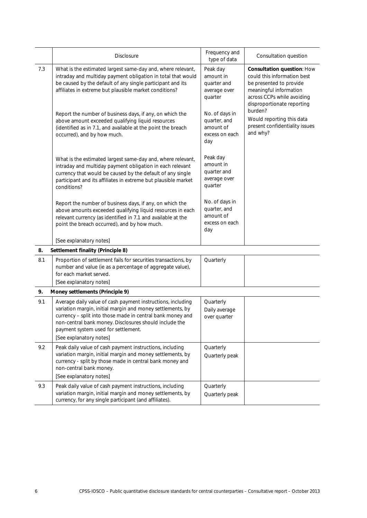|     | <b>Disclosure</b>                                                                                                                                                                                                                                                                                                                                                                                                                                                   | Frequency and<br>type of data                                                                                                           | Consultation question                                                                                                                                                                                                                                            |
|-----|---------------------------------------------------------------------------------------------------------------------------------------------------------------------------------------------------------------------------------------------------------------------------------------------------------------------------------------------------------------------------------------------------------------------------------------------------------------------|-----------------------------------------------------------------------------------------------------------------------------------------|------------------------------------------------------------------------------------------------------------------------------------------------------------------------------------------------------------------------------------------------------------------|
| 7.3 | What is the estimated largest same-day and, where relevant,<br>intraday and multiday payment obligation in total that would<br>be caused by the default of any single participant and its<br>affiliates in extreme but plausible market conditions?<br>Report the number of business days, if any, on which the<br>above amount exceeded qualifying liquid resources<br>(identified as in 7.1, and available at the point the breach<br>occurred), and by how much. | Peak day<br>amount in<br>quarter and<br>average over<br>quarter<br>No. of days in<br>quarter, and<br>amount of<br>excess on each<br>day | Consultation question: How<br>could this information best<br>be presented to provide<br>meaningful information<br>across CCPs while avoiding<br>disproportionate reporting<br>burden?<br>Would reporting this data<br>present confidentiality issues<br>and why? |
|     | What is the estimated largest same-day and, where relevant,<br>intraday and multiday payment obligation in each relevant<br>currency that would be caused by the default of any single<br>participant and its affiliates in extreme but plausible market<br>conditions?                                                                                                                                                                                             | Peak day<br>amount in<br>quarter and<br>average over<br>quarter                                                                         |                                                                                                                                                                                                                                                                  |
|     | Report the number of business days, if any, on which the<br>above amounts exceeded qualifying liquid resources in each<br>relevant currency (as identified in 7.1 and available at the<br>point the breach occurred), and by how much.<br>[See explanatory notes]                                                                                                                                                                                                   | No. of days in<br>quarter, and<br>amount of<br>excess on each<br>day                                                                    |                                                                                                                                                                                                                                                                  |
| 8.  | Settlement finality (Principle 8)                                                                                                                                                                                                                                                                                                                                                                                                                                   |                                                                                                                                         |                                                                                                                                                                                                                                                                  |
| 8.1 | Proportion of settlement fails for securities transactions, by<br>number and value (ie as a percentage of aggregate value),<br>for each market served.<br>[See explanatory notes]                                                                                                                                                                                                                                                                                   | Quarterly                                                                                                                               |                                                                                                                                                                                                                                                                  |
| 9.  | Money settlements (Principle 9)                                                                                                                                                                                                                                                                                                                                                                                                                                     |                                                                                                                                         |                                                                                                                                                                                                                                                                  |
| 9.1 | Average daily value of cash payment instructions, including<br>variation margin, initial margin and money settlements, by<br>currency - split into those made in central bank money and<br>non-central bank money. Disclosures should include the<br>payment system used for settlement.<br>[See explanatory notes]                                                                                                                                                 | Quarterly<br>Daily average<br>over quarter                                                                                              |                                                                                                                                                                                                                                                                  |
| 9.2 | Peak daily value of cash payment instructions, including<br>variation margin, initial margin and money settlements, by<br>currency - split by those made in central bank money and<br>non-central bank money.<br>[See explanatory notes]                                                                                                                                                                                                                            | Quarterly<br>Quarterly peak                                                                                                             |                                                                                                                                                                                                                                                                  |
| 9.3 | Peak daily value of cash payment instructions, including<br>variation margin, initial margin and money settlements, by<br>currency, for any single participant (and affiliates).                                                                                                                                                                                                                                                                                    | Quarterly<br>Quarterly peak                                                                                                             |                                                                                                                                                                                                                                                                  |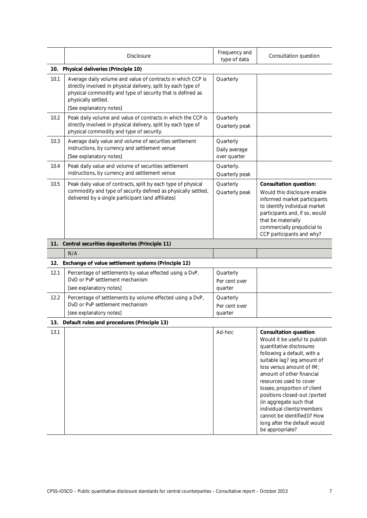|      | <b>Disclosure</b>                                                                                                                                                                                                                            | Frequency and<br>type of data              | Consultation question                                                                                                                                                                                                                                                                                                                                                                                                                                    |
|------|----------------------------------------------------------------------------------------------------------------------------------------------------------------------------------------------------------------------------------------------|--------------------------------------------|----------------------------------------------------------------------------------------------------------------------------------------------------------------------------------------------------------------------------------------------------------------------------------------------------------------------------------------------------------------------------------------------------------------------------------------------------------|
|      | 10. Physical deliveries (Principle 10)                                                                                                                                                                                                       |                                            |                                                                                                                                                                                                                                                                                                                                                                                                                                                          |
| 10.1 | Average daily volume and value of contracts in which CCP is<br>directly involved in physical delivery, split by each type of<br>physical commodity and type of security that is defined as<br>physically settled.<br>[See explanatory notes] | Quarterly                                  |                                                                                                                                                                                                                                                                                                                                                                                                                                                          |
| 10.2 | Peak daily volume and value of contracts in which the CCP is<br>directly involved in physical delivery, split by each type of<br>physical commodity and type of security.                                                                    | Quarterly<br>Quarterly peak                |                                                                                                                                                                                                                                                                                                                                                                                                                                                          |
| 10.3 | Average daily value and volume of securities settlement<br>instructions, by currency and settlement venue<br>[See explanatory notes]                                                                                                         | Quarterly<br>Daily average<br>over quarter |                                                                                                                                                                                                                                                                                                                                                                                                                                                          |
| 10.4 | Peak daily value and volume of securities settlement<br>instructions, by currency and settlement venue                                                                                                                                       | Quarterly.<br>Quarterly peak               |                                                                                                                                                                                                                                                                                                                                                                                                                                                          |
| 10.5 | Peak daily value of contracts, split by each type of physical<br>commodity and type of security defined as physically settled,<br>delivered by a single participant (and affiliates)                                                         | Quarterly<br>Quarterly peak                | <b>Consultation question:</b><br>Would this disclosure enable<br>informed market participants<br>to identify individual market<br>participants and, if so, would<br>that be materially<br>commercially prejudicial to<br>CCP participants and why?                                                                                                                                                                                                       |
|      | 11. Central securities depositories (Principle 11)                                                                                                                                                                                           |                                            |                                                                                                                                                                                                                                                                                                                                                                                                                                                          |
|      | N/A                                                                                                                                                                                                                                          |                                            |                                                                                                                                                                                                                                                                                                                                                                                                                                                          |
|      | 12. Exchange of value settlement systems (Principle 12)                                                                                                                                                                                      |                                            |                                                                                                                                                                                                                                                                                                                                                                                                                                                          |
| 12.1 | Percentage of settlements by value effected using a DvP,<br>DvD or PvP settlement mechanism<br>[see explanatory notes]                                                                                                                       | Quarterly<br>Per cent over<br>quarter      |                                                                                                                                                                                                                                                                                                                                                                                                                                                          |
| 12.2 | Percentage of settlements by volume effected using a DvP,<br>DvD or PvP settlement mechanism<br>[see explanatory notes]                                                                                                                      | Quarterly<br>Per cent over<br>quarter      |                                                                                                                                                                                                                                                                                                                                                                                                                                                          |
| 13.  | Default rules and procedures (Principle 13)                                                                                                                                                                                                  |                                            |                                                                                                                                                                                                                                                                                                                                                                                                                                                          |
| 13.1 |                                                                                                                                                                                                                                              | Ad-hoc                                     | <b>Consultation question:</b><br>Would it be useful to publish<br>quantitative disclosures<br>following a default, with a<br>suitable lag? (eg amount of<br>loss versus amount of IM;<br>amount of other financial<br>resources used to cover<br>losses; proportion of client<br>positions closed-out /ported<br>(in aggregate such that<br>individual clients/members<br>cannot be identified))? How<br>long after the default would<br>be appropriate? |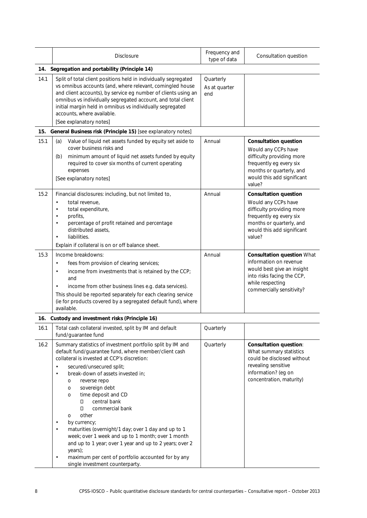|      | <b>Disclosure</b>                                                                                                                                                                                                                                                                                                                                                                                                                                                                                                                                                                                                                                                                                                      | Frequency and<br>type of data     | Consultation question                                                                                                                                                           |
|------|------------------------------------------------------------------------------------------------------------------------------------------------------------------------------------------------------------------------------------------------------------------------------------------------------------------------------------------------------------------------------------------------------------------------------------------------------------------------------------------------------------------------------------------------------------------------------------------------------------------------------------------------------------------------------------------------------------------------|-----------------------------------|---------------------------------------------------------------------------------------------------------------------------------------------------------------------------------|
| 14.  | Segregation and portability (Principle 14)                                                                                                                                                                                                                                                                                                                                                                                                                                                                                                                                                                                                                                                                             |                                   |                                                                                                                                                                                 |
| 14.1 | Split of total client positions held in individually segregated<br>vs omnibus accounts (and, where relevant, comingled house<br>and client accounts), by service eg number of clients using an<br>omnibus vs individually segregated account, and total client<br>initial margin held in omnibus vs individually segregated<br>accounts, where available.<br>[See explanatory notes]                                                                                                                                                                                                                                                                                                                                   | Quarterly<br>As at quarter<br>end |                                                                                                                                                                                 |
| 15.  | General Business risk (Principle 15) [see explanatory notes]                                                                                                                                                                                                                                                                                                                                                                                                                                                                                                                                                                                                                                                           |                                   |                                                                                                                                                                                 |
| 15.1 | Value of liquid net assets funded by equity set aside to<br>(a)<br>cover business risks and<br>minimum amount of liquid net assets funded by equity<br>(b)<br>required to cover six months of current operating<br>expenses<br>[See explanatory notes]                                                                                                                                                                                                                                                                                                                                                                                                                                                                 | Annual                            | <b>Consultation question</b><br>Would any CCPs have<br>difficulty providing more<br>frequently eg every six<br>months or quarterly, and<br>would this add significant<br>value? |
| 15.2 | Financial disclosures: including, but not limited to,<br>total revenue.<br>$\bullet$<br>total expenditure,<br>$\bullet$<br>profits,<br>$\bullet$<br>percentage of profit retained and percentage<br>$\bullet$<br>distributed assets,<br>liabilities.<br>$\bullet$<br>Explain if collateral is on or off balance sheet.                                                                                                                                                                                                                                                                                                                                                                                                 | Annual                            | <b>Consultation question</b><br>Would any CCPs have<br>difficulty providing more<br>frequently eg every six<br>months or quarterly, and<br>would this add significant<br>value? |
| 15.3 | Income breakdowns:<br>fees from provision of clearing services;<br>income from investments that is retained by the CCP;<br>$\bullet$<br>and<br>income from other business lines e.g. data services).<br>$\bullet$<br>This should be reported separately for each clearing service<br>(ie for products covered by a segregated default fund), where<br>available.                                                                                                                                                                                                                                                                                                                                                       | Annual                            | <b>Consultation question What</b><br>information on revenue<br>would best give an insight<br>into risks facing the CCP,<br>while respecting<br>commercially sensitivity?        |
|      | 16. Custody and investment risks (Principle 16)                                                                                                                                                                                                                                                                                                                                                                                                                                                                                                                                                                                                                                                                        |                                   |                                                                                                                                                                                 |
| 16.1 | Total cash collateral invested, split by IM and default<br>fund/guarantee fund                                                                                                                                                                                                                                                                                                                                                                                                                                                                                                                                                                                                                                         | Quarterly                         |                                                                                                                                                                                 |
| 16.2 | Summary statistics of investment portfolio split by IM and<br>default fund/guarantee fund, where member/client cash<br>collateral is invested at CCP's discretion:<br>secured/unsecured split;<br>$\bullet$<br>break-down of assets invested in;<br>$\bullet$<br>reverse repo<br>O<br>sovereign debt<br>O<br>time deposit and CD<br>O<br>central bank<br>D.<br>0<br>commercial bank<br>other<br>O<br>by currency;<br>$\bullet$<br>maturities (overnight/1 day; over 1 day and up to 1<br>week; over 1 week and up to 1 month; over 1 month<br>and up to 1 year; over 1 year and up to 2 years; over 2<br>years);<br>maximum per cent of portfolio accounted for by any<br>$\bullet$<br>single investment counterparty. | Quarterly                         | <b>Consultation question:</b><br>What summary statistics<br>could be disclosed without<br>revealing sensitive<br>information? (eg on<br>concentration, maturity)                |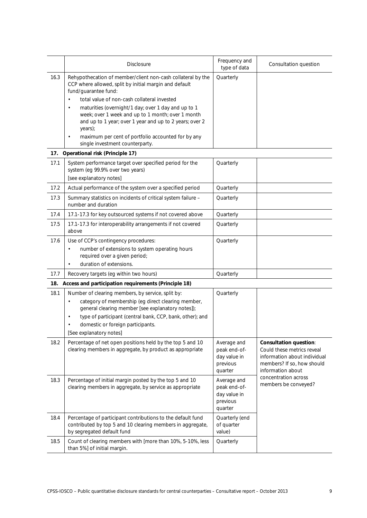|      | <b>Disclosure</b>                                                                                                                                                                                                                                                                                                                                                                                                                                                                                 | Frequency and<br>type of data                                      | Consultation question                                                                                                                          |
|------|---------------------------------------------------------------------------------------------------------------------------------------------------------------------------------------------------------------------------------------------------------------------------------------------------------------------------------------------------------------------------------------------------------------------------------------------------------------------------------------------------|--------------------------------------------------------------------|------------------------------------------------------------------------------------------------------------------------------------------------|
| 16.3 | Rehypothecation of member/client non-cash collateral by the<br>CCP where allowed, split by initial margin and default<br>fund/guarantee fund:<br>total value of non-cash collateral invested<br>maturities (overnight/1 day; over 1 day and up to 1<br>$\bullet$<br>week; over 1 week and up to 1 month; over 1 month<br>and up to 1 year; over 1 year and up to 2 years; over 2<br>years);<br>maximum per cent of portfolio accounted for by any<br>$\bullet$<br>single investment counterparty. | Quarterly                                                          |                                                                                                                                                |
| 17.  | Operational risk (Principle 17)                                                                                                                                                                                                                                                                                                                                                                                                                                                                   |                                                                    |                                                                                                                                                |
| 17.1 | System performance target over specified period for the<br>system (eg 99.9% over two years)<br>[see explanatory notes]                                                                                                                                                                                                                                                                                                                                                                            | Quarterly                                                          |                                                                                                                                                |
| 17.2 | Actual performance of the system over a specified period                                                                                                                                                                                                                                                                                                                                                                                                                                          | Quarterly                                                          |                                                                                                                                                |
| 17.3 | Summary statistics on incidents of critical system failure -<br>number and duration                                                                                                                                                                                                                                                                                                                                                                                                               | Quarterly                                                          |                                                                                                                                                |
| 17.4 | 17.1-17.3 for key outsourced systems if not covered above                                                                                                                                                                                                                                                                                                                                                                                                                                         | Quarterly                                                          |                                                                                                                                                |
| 17.5 | 17.1-17.3 for interoperability arrangements if not covered<br>above                                                                                                                                                                                                                                                                                                                                                                                                                               | Quarterly                                                          |                                                                                                                                                |
| 17.6 | Use of CCP's contingency procedures:<br>number of extensions to system operating hours<br>required over a given period;<br>duration of extensions.<br>$\bullet$                                                                                                                                                                                                                                                                                                                                   | Quarterly                                                          |                                                                                                                                                |
| 17.7 | Recovery targets (eg within two hours)                                                                                                                                                                                                                                                                                                                                                                                                                                                            | Quarterly                                                          |                                                                                                                                                |
| 18.  | Access and participation requirements (Principle 18)                                                                                                                                                                                                                                                                                                                                                                                                                                              |                                                                    |                                                                                                                                                |
| 18.1 | Number of clearing members, by service, split by:<br>category of membership (eg direct clearing member,<br>general clearing member [see explanatory notes]);<br>type of participant (central bank, CCP, bank, other); and<br>domestic or foreign participants.<br>[See explanatory notes]                                                                                                                                                                                                         | Quarterly                                                          |                                                                                                                                                |
| 18.2 | Percentage of net open positions held by the top 5 and 10<br>clearing members in aggregate, by product as appropriate                                                                                                                                                                                                                                                                                                                                                                             | Average and<br>peak end-of-<br>day value in<br>previous<br>quarter | <b>Consultation question:</b><br>Could these metrics reveal<br>information about individual<br>members? If so, how should<br>information about |
| 18.3 | Percentage of initial margin posted by the top 5 and 10<br>clearing members in aggregate, by service as appropriate                                                                                                                                                                                                                                                                                                                                                                               | Average and<br>peak end-of-<br>day value in<br>previous<br>quarter | concentration across<br>members be conveyed?                                                                                                   |
| 18.4 | Percentage of participant contributions to the default fund<br>contributed by top 5 and 10 clearing members in aggregate,<br>by segregated default fund                                                                                                                                                                                                                                                                                                                                           | Quarterly (end<br>of quarter<br>value)                             |                                                                                                                                                |
| 18.5 | Count of clearing members with [more than 10%, 5-10%, less<br>than 5%] of initial margin.                                                                                                                                                                                                                                                                                                                                                                                                         | Quarterly                                                          |                                                                                                                                                |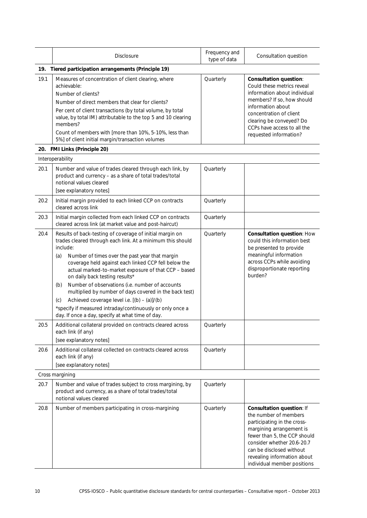|      | <b>Disclosure</b>                                                                                                                                                                                                                                                                                                                                                                                                                                                                                                                                                                                                                         | Frequency and<br>type of data | Consultation question                                                                                                                                                                                                                                                 |
|------|-------------------------------------------------------------------------------------------------------------------------------------------------------------------------------------------------------------------------------------------------------------------------------------------------------------------------------------------------------------------------------------------------------------------------------------------------------------------------------------------------------------------------------------------------------------------------------------------------------------------------------------------|-------------------------------|-----------------------------------------------------------------------------------------------------------------------------------------------------------------------------------------------------------------------------------------------------------------------|
| 19.  | Tiered participation arrangements (Principle 19)                                                                                                                                                                                                                                                                                                                                                                                                                                                                                                                                                                                          |                               |                                                                                                                                                                                                                                                                       |
| 19.1 | Measures of concentration of client clearing, where<br>achievable:<br>Number of clients?<br>Number of direct members that clear for clients?<br>Per cent of client transactions (by total volume, by total<br>value, by total IM) attributable to the top 5 and 10 clearing<br>members?<br>Count of members with [more than 10%, 5-10%, less than<br>5%] of client initial margin/transaction volumes                                                                                                                                                                                                                                     | Quarterly                     | <b>Consultation question:</b><br>Could these metrics reveal<br>information about individual<br>members? If so, how should<br>information about<br>concentration of client<br>clearing be conveyed? Do<br>CCPs have access to all the<br>requested information?        |
|      | 20. FMI Links (Principle 20)                                                                                                                                                                                                                                                                                                                                                                                                                                                                                                                                                                                                              |                               |                                                                                                                                                                                                                                                                       |
|      | Interoperability                                                                                                                                                                                                                                                                                                                                                                                                                                                                                                                                                                                                                          |                               |                                                                                                                                                                                                                                                                       |
| 20.1 | Number and value of trades cleared through each link, by<br>product and currency - as a share of total trades/total<br>notional values cleared<br>[see explanatory notes]                                                                                                                                                                                                                                                                                                                                                                                                                                                                 | Quarterly                     |                                                                                                                                                                                                                                                                       |
| 20.2 | Initial margin provided to each linked CCP on contracts<br>cleared across link                                                                                                                                                                                                                                                                                                                                                                                                                                                                                                                                                            | Quarterly                     |                                                                                                                                                                                                                                                                       |
| 20.3 | Initial margin collected from each linked CCP on contracts<br>cleared across link (at market value and post-haircut)                                                                                                                                                                                                                                                                                                                                                                                                                                                                                                                      | Quarterly                     |                                                                                                                                                                                                                                                                       |
| 20.4 | Results of back-testing of coverage of initial margin on<br>trades cleared through each link. At a minimum this should<br>include:<br>Number of times over the past year that margin<br>(a)<br>coverage held against each linked CCP fell below the<br>actual marked-to-market exposure of that CCP - based<br>on daily back testing results*<br>Number of observations (i.e. number of accounts<br>(b)<br>multiplied by number of days covered in the back test)<br>Achieved coverage level i.e. [(b) - (a)]/(b)<br>(c)<br>*specify if measured intraday/continuously or only once a<br>day. If once a day, specify at what time of day. | Quarterly                     | <b>Consultation question: How</b><br>could this information best<br>be presented to provide<br>meaningful information<br>across CCPs while avoiding<br>disproportionate reporting<br>burden?                                                                          |
| 20.5 | Additional collateral provided on contracts cleared across<br>each link (if any)<br>[see explanatory notes]                                                                                                                                                                                                                                                                                                                                                                                                                                                                                                                               | Quarterly                     |                                                                                                                                                                                                                                                                       |
| 20.6 | Additional collateral collected on contracts cleared across<br>each link (if any)<br>[see explanatory notes]                                                                                                                                                                                                                                                                                                                                                                                                                                                                                                                              | Quarterly                     |                                                                                                                                                                                                                                                                       |
|      | Cross margining                                                                                                                                                                                                                                                                                                                                                                                                                                                                                                                                                                                                                           |                               |                                                                                                                                                                                                                                                                       |
| 20.7 | Number and value of trades subject to cross margining, by<br>product and currency, as a share of total trades/total<br>notional values cleared                                                                                                                                                                                                                                                                                                                                                                                                                                                                                            | Quarterly                     |                                                                                                                                                                                                                                                                       |
| 20.8 | Number of members participating in cross-margining                                                                                                                                                                                                                                                                                                                                                                                                                                                                                                                                                                                        | Quarterly                     | Consultation question: If<br>the number of members<br>participating in the cross-<br>margining arrangement is<br>fewer than 5, the CCP should<br>consider whether 20.6-20.7<br>can be disclosed without<br>revealing information about<br>individual member positions |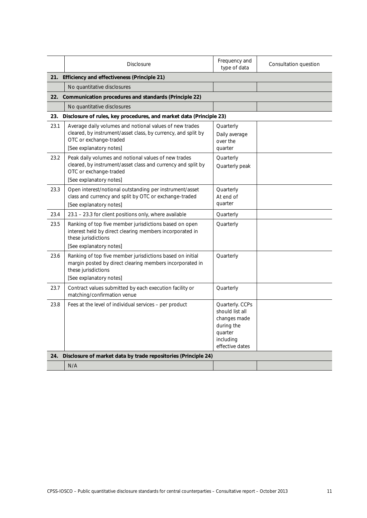|      | <b>Disclosure</b>                                                                                                                                                             | Frequency and<br>type of data                                                                               | Consultation question |  |
|------|-------------------------------------------------------------------------------------------------------------------------------------------------------------------------------|-------------------------------------------------------------------------------------------------------------|-----------------------|--|
|      | 21. Efficiency and effectiveness (Principle 21)                                                                                                                               |                                                                                                             |                       |  |
|      | No quantitative disclosures                                                                                                                                                   |                                                                                                             |                       |  |
| 22.  | Communication procedures and standards (Principle 22)                                                                                                                         |                                                                                                             |                       |  |
|      | No quantitative disclosures                                                                                                                                                   |                                                                                                             |                       |  |
| 23.  | Disclosure of rules, key procedures, and market data (Principle 23)                                                                                                           |                                                                                                             |                       |  |
| 23.1 | Average daily volumes and notional values of new trades<br>cleared, by instrument/asset class, by currency, and split by<br>OTC or exchange-traded<br>[See explanatory notes] | Quarterly<br>Daily average<br>over the<br>quarter                                                           |                       |  |
| 23.2 | Peak daily volumes and notional values of new trades<br>cleared, by instrument/asset class and currency and split by<br>OTC or exchange-traded<br>[See explanatory notes]     | Quarterly<br>Quarterly peak                                                                                 |                       |  |
| 23.3 | Open interest/notional outstanding per instrument/asset<br>class and currency and split by OTC or exchange-traded<br>[See explanatory notes]                                  | Quarterly<br>At end of<br>quarter                                                                           |                       |  |
| 23.4 | 23.1 - 23.3 for client positions only, where available                                                                                                                        | Quarterly                                                                                                   |                       |  |
| 23.5 | Ranking of top five member jurisdictions based on open<br>interest held by direct clearing members incorporated in<br>these jurisdictions<br>[See explanatory notes]          | Quarterly                                                                                                   |                       |  |
| 23.6 | Ranking of top five member jurisdictions based on initial<br>margin posted by direct clearing members incorporated in<br>these jurisdictions<br>[See explanatory notes]       | Quarterly                                                                                                   |                       |  |
| 23.7 | Contract values submitted by each execution facility or<br>matching/confirmation venue                                                                                        | Quarterly                                                                                                   |                       |  |
| 23.8 | Fees at the level of individual services - per product                                                                                                                        | Quarterly. CCPs<br>should list all<br>changes made<br>during the<br>quarter<br>including<br>effective dates |                       |  |
| 24.  | Disclosure of market data by trade repositories (Principle 24)                                                                                                                |                                                                                                             |                       |  |
|      | N/A                                                                                                                                                                           |                                                                                                             |                       |  |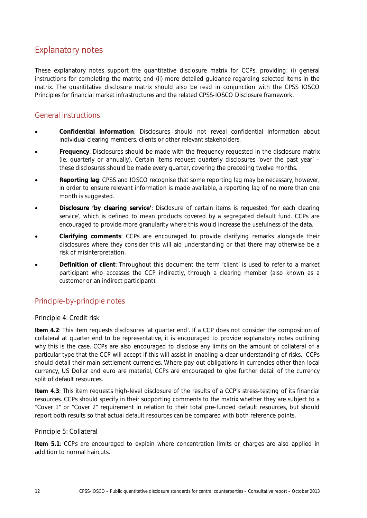# Explanatory notes

These explanatory notes support the quantitative disclosure matrix for CCPs, providing: (i) general instructions for completing the matrix; and (ii) more detailed guidance regarding selected items in the matrix. The quantitative disclosure matrix should also be read in conjunction with the CPSS IOSCO *Principles for financial market infrastructures* and the related CPSS-IOSCO *Disclosure framework*.

# General instructions

- **Confidential information**: Disclosures should not reveal confidential information about individual clearing members, clients or other relevant stakeholders.
- **Frequency**: Disclosures should be made with the frequency requested in the disclosure matrix (ie. quarterly or annually). Certain items request quarterly disclosures 'over the past year' – these disclosures should be made every quarter, covering the preceding twelve months.
- **Reporting lag**: CPSS and IOSCO recognise that some reporting lag may be necessary, however, in order to ensure relevant information is made available, a reporting lag of no more than one month is suggested.
- **Disclosure 'by clearing service'**: Disclosure of certain items is requested 'for each clearing service', which is defined to mean products covered by a segregated default fund. CCPs are encouraged to provide more granularity where this would increase the usefulness of the data.
- **Clarifying comments**: CCPs are encouraged to provide clarifying remarks alongside their disclosures where they consider this will aid understanding or that there may otherwise be a risk of misinterpretation.
- **Definition of client**: Throughout this document the term 'client' is used to refer to a market participant who accesses the CCP indirectly, through a clearing member (also known as a customer or an indirect participant).

# Principle-by-principle notes

# Principle 4: Credit risk

**Item 4.2**: This item requests disclosures 'at quarter end'. If a CCP does not consider the composition of collateral at quarter end to be representative, it is encouraged to provide explanatory notes outlining why this is the case. CCPs are also encouraged to disclose any limits on the amount of collateral of a particular type that the CCP will accept if this will assist in enabling a clear understanding of risks. CCPs should detail their main settlement currencies. Where pay-out obligations in currencies other than local currency, US Dollar and euro are material, CCPs are encouraged to give further detail of the currency split of default resources.

**Item 4.3**: This item requests high-level disclosure of the results of a CCP's stress-testing of its financial resources. CCPs should specify in their supporting comments to the matrix whether they are subject to a "Cover 1" or "Cover 2" requirement in relation to their total pre-funded default resources, but should report both results so that actual default resources can be compared with both reference points.

## Principle 5: Collateral

**Item 5.1**: CCPs are encouraged to explain where concentration limits or charges are also applied in addition to normal haircuts.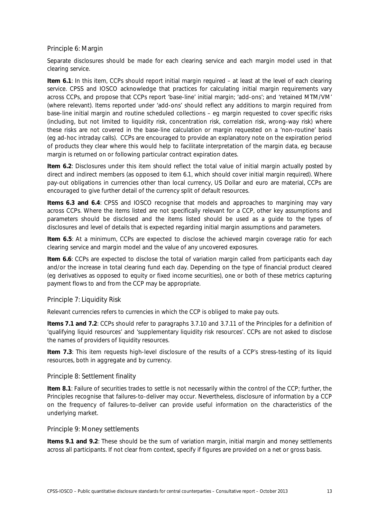### Principle 6: Margin

Separate disclosures should be made for each clearing service and each margin model used in that clearing service.

**Item 6.1**: In this item, CCPs should report initial margin *required* – at least at the level of each clearing service. CPSS and IOSCO acknowledge that practices for calculating initial margin requirements vary across CCPs, and propose that CCPs report 'base-line' initial margin; 'add-ons'; and 'retained MTM/VM' (where relevant). Items reported under 'add-ons' should reflect any additions to margin required from base-line initial margin and routine scheduled collections – eg margin requested to cover specific risks (including, but not limited to liquidity risk, concentration risk, correlation risk, wrong-way risk) where these risks are not covered in the base-line calculation or margin requested on a 'non-routine' basis (eg ad-hoc intraday calls). CCPs are encouraged to provide an explanatory note on the expiration period of products they clear where this would help to facilitate interpretation of the margin data, eg because margin is returned on or following particular contract expiration dates.

**Item 6.2**: Disclosures under this item should reflect the total value of initial margin actually *posted* by direct and indirect members (as opposed to item 6.1, which should cover initial margin *required*). Where pay-out obligations in currencies other than local currency, US Dollar and euro are material, CCPs are encouraged to give further detail of the currency split of default resources.

**Items 6.3 and 6.4**: CPSS and IOSCO recognise that models and approaches to margining may vary across CCPs. Where the items listed are not specifically relevant for a CCP, other key assumptions and parameters should be disclosed and the items listed should be used as a guide to the types of disclosures and level of details that is expected regarding initial margin assumptions and parameters.

**Item 6.5**: At a minimum, CCPs are expected to disclose the achieved margin coverage ratio for each clearing service and margin model and the value of any uncovered exposures.

**Item 6.6**: CCPs are expected to disclose the total of variation margin called from participants each day and/or the increase in total clearing fund each day. Depending on the type of financial product cleared (eg derivatives as opposed to equity or fixed income securities), one or both of these metrics capturing payment flows to and from the CCP may be appropriate.

## Principle 7: Liquidity Risk

Relevant currencies refers to currencies in which the CCP is obliged to make pay outs.

**Items 7.1 and 7.2**: CCPs should refer to paragraphs 3.7.10 and 3.7.11 of the Principles for a definition of 'qualifying liquid resources' and 'supplementary liquidity risk resources'. CCPs are not asked to disclose the names of providers of liquidity resources.

**Item 7.3**: This item requests high-level disclosure of the results of a CCP's stress-testing of its liquid resources, both in aggregate and by currency.

#### Principle 8: Settlement finality

**Item 8.1**: Failure of securities trades to settle is not necessarily within the control of the CCP; further, the Principles recognise that failures-to-deliver may occur. Nevertheless, disclosure of information by a CCP on the frequency of failures-to-deliver can provide useful information on the characteristics of the underlying market.

Principle 9: Money settlements

**Items 9.1 and 9.2**: These should be the sum of variation margin, initial margin and money settlements across all participants. If not clear from context, specify if figures are provided on a net or gross basis.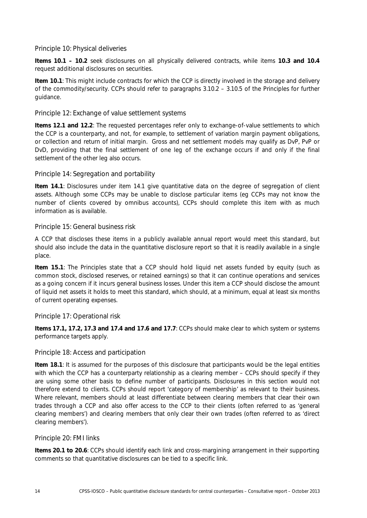# Principle 10: Physical deliveries

**Items 10.1 – 10.2** seek disclosures on all physically delivered contracts, while items **10.3 and 10.4** request additional disclosures on securities.

**Item 10.1**: This might include contracts for which the CCP is directly involved in the storage and delivery of the commodity/security. CCPs should refer to paragraphs 3.10.2 – 3.10.5 of the Principles for further guidance.

# Principle 12: Exchange of value settlement systems

**Items 12.1 and 12.2**: The requested percentages refer only to exchange-of-value settlements to which the CCP is a counterparty, and not, for example, to settlement of variation margin payment obligations, or collection and return of initial margin. Gross and net settlement models may qualify as DvP, PvP or DvD, providing that the final settlement of one leg of the exchange occurs if and only if the final settlement of the other leg also occurs.

# Principle 14: Segregation and portability

**Item 14.1**: Disclosures under item 14.1 give quantitative data on the degree of segregation of client assets. Although some CCPs may be unable to disclose particular items (eg CCPs may not know the number of clients covered by omnibus accounts), CCPs should complete this item with as much information as is available.

# Principle 15: General business risk

A CCP that discloses these items in a publicly available annual report would meet this standard, but should also include the data in the quantitative disclosure report so that it is readily available in a single place.

**Item 15.1**: The Principles state that a CCP should hold liquid net assets funded by equity (such as common stock, disclosed reserves, or retained earnings) so that it can continue operations and services as a going concern if it incurs general business losses. Under this item a CCP should disclose the amount of liquid net assets it holds to meet this standard, which should, at a minimum, equal at least six months of current operating expenses.

# Principle 17: Operational risk

**Items 17.1, 17.2, 17.3 and 17.4 and 17.6 and 17.7**: CCPs should make clear to which system or systems performance targets apply.

# Principle 18: Access and participation

**Item 18.1**: It is assumed for the purposes of this disclosure that participants would be the legal entities with which the CCP has a counterparty relationship as a clearing member – CCPs should specify if they are using some other basis to define number of participants. Disclosures in this section would not therefore extend to clients. CCPs should report 'category of membership' as relevant to their business. Where relevant, members should at least differentiate between clearing members that clear their own trades through a CCP and also offer access to the CCP to their clients (often referred to as 'general clearing members') and clearing members that only clear their own trades (often referred to as 'direct clearing members').

## Principle 20: FMI links

**Items 20.1 to 20.6**: CCPs should identify each link and cross-margining arrangement in their supporting comments so that quantitative disclosures can be tied to a specific link.